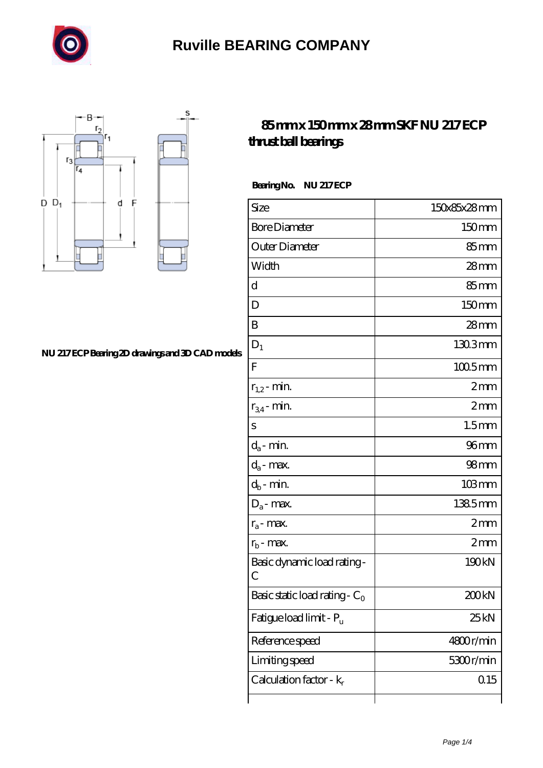



#### **[NU 217 ECP Bearing 2D drawings and 3D CAD models](https://sitecoachoutlet-2014.com/pic-435284.html)**

#### **[85 mm x 150 mm x 28 mm SKF NU 217 ECP](https://sitecoachoutlet-2014.com/by-435284-skf-nu-217-ecp-thrust-ball-bearings.html) [thrust ball bearings](https://sitecoachoutlet-2014.com/by-435284-skf-nu-217-ecp-thrust-ball-bearings.html)**

Bearing No. NU 217 ECP

| Size                                | 150x85x28mm          |
|-------------------------------------|----------------------|
| <b>Bore Diameter</b>                | 150mm                |
| Outer Diameter                      | $85 \text{mm}$       |
| Width                               | $28$ mm              |
| d                                   | 85mm                 |
| D                                   | 150mm                |
| B                                   | $28 \text{mm}$       |
| $D_1$                               | 1303mm               |
| $\mathbf{F}$                        | $1005$ <sub>mm</sub> |
| $r_{1,2}$ - min.                    | 2mm                  |
| $r_{34}$ - min.                     | 2mm                  |
| $\rm S$                             | 1.5 <sub>mm</sub>    |
| $d_a$ - min.                        | 96 mm                |
| $d_a$ - max.                        | 98 <sub>mm</sub>     |
| $d_b$ - min.                        | $103 \, \text{mm}$   |
| $D_a$ - max.                        | 1385mm               |
| $r_a$ - max.                        | 2mm                  |
| $r_{b}$ - max.                      | 2mm                  |
| Basic dynamic load rating-<br>С     | 190kN                |
| Basic static load rating - $C_0$    | 200kN                |
| Fatigue load limit - P <sub>u</sub> | 25kN                 |
| Reference speed                     | 4800r/min            |
| Limiting speed                      | 5300r/min            |
| Calculation factor - $k_r$          | 0.15                 |
|                                     |                      |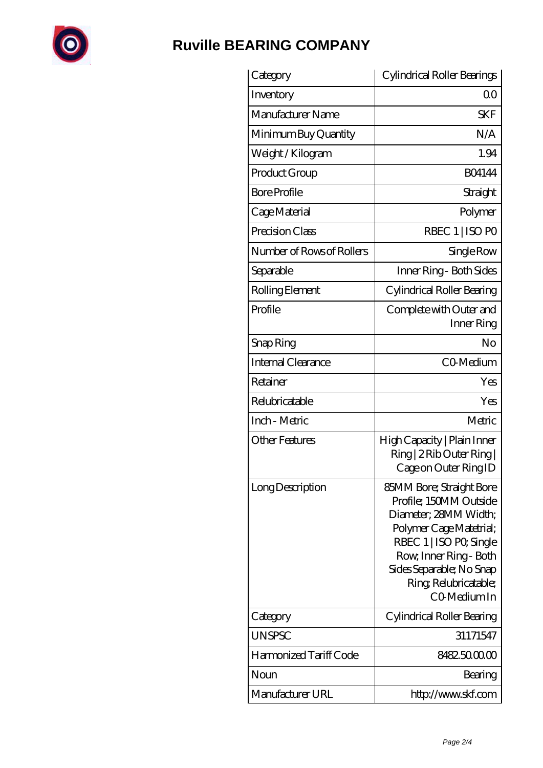

| Category                  | Cylindrical Roller Bearings                                                                                                                                                                                                     |
|---------------------------|---------------------------------------------------------------------------------------------------------------------------------------------------------------------------------------------------------------------------------|
| Inventory                 | 0 <sup>0</sup>                                                                                                                                                                                                                  |
| Manufacturer Name         | <b>SKF</b>                                                                                                                                                                                                                      |
| Minimum Buy Quantity      | N/A                                                                                                                                                                                                                             |
| Weight / Kilogram         | 1.94                                                                                                                                                                                                                            |
| Product Group             | <b>BO4144</b>                                                                                                                                                                                                                   |
| <b>Bore Profile</b>       | Straight                                                                                                                                                                                                                        |
| Cage Material             | Polymer                                                                                                                                                                                                                         |
| Precision Class           | RBEC 1   ISO PO                                                                                                                                                                                                                 |
| Number of Rows of Rollers | Single Row                                                                                                                                                                                                                      |
| Separable                 | Inner Ring - Both Sides                                                                                                                                                                                                         |
| Rolling Element           | Cylindrical Roller Bearing                                                                                                                                                                                                      |
| Profile                   | Complete with Outer and<br>Inner Ring                                                                                                                                                                                           |
| Snap Ring                 | No                                                                                                                                                                                                                              |
| <b>Internal Clearance</b> | C <sub>O</sub> Medium                                                                                                                                                                                                           |
| Retainer                  | Yes                                                                                                                                                                                                                             |
| Relubricatable            | Yes                                                                                                                                                                                                                             |
| Inch - Metric             | Metric                                                                                                                                                                                                                          |
| <b>Other Features</b>     | High Capacity   Plain Inner<br>Ring   2 Rib Outer Ring  <br>Cage on Outer Ring ID                                                                                                                                               |
| Long Description          | 85MM Bore; Straight Bore<br>Profile; 150MM Outside<br>Diameter; 28MM Width;<br>Polymer Cage Matetrial;<br>RBEC 1   ISO PO, Single<br>Row, Inner Ring - Both<br>Sides Separable; No Snap<br>Ring Relubricatable;<br>CO-Medium In |
| Category                  | Cylindrical Roller Bearing                                                                                                                                                                                                      |
| <b>UNSPSC</b>             | 31171547                                                                                                                                                                                                                        |
| Harmonized Tariff Code    | 8482.5000.00                                                                                                                                                                                                                    |
| Noun                      | Bearing                                                                                                                                                                                                                         |
| Manufacturer URL          | http://www.skf.com                                                                                                                                                                                                              |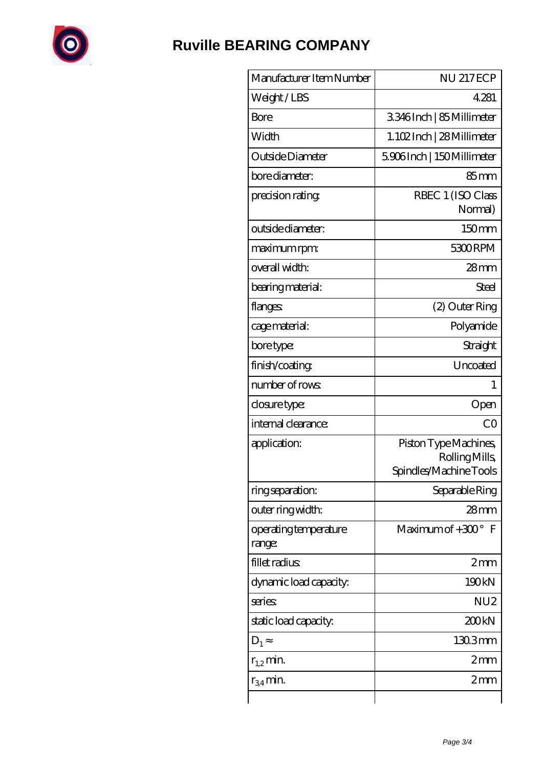

| Manufacturer Item Number        | <b>NU 217ECP</b>                                                 |
|---------------------------------|------------------------------------------------------------------|
| Weight/LBS                      | 4281                                                             |
| Bore                            | 3346Inch   85 Millimeter                                         |
| Width                           | 1.102Inch   28Millimeter                                         |
| Outside Diameter                | 5906Inch   150Millimeter                                         |
| bore diameter:                  | 85mm                                                             |
| precision rating                | RBEC 1 (ISO Class<br>Normal)                                     |
| outside diameter:               | 150mm                                                            |
| maximum rpm:                    | 5300RPM                                                          |
| overall width:                  | $28$ mm                                                          |
| bearing material:               | Steel                                                            |
| flanges:                        | (2) Outer Ring                                                   |
| cage material:                  | Polyamide                                                        |
| bore type:                      | Straight                                                         |
| finish/coating                  | Uncoated                                                         |
| number of rows:                 | 1                                                                |
| closure type:                   | Open                                                             |
| internal clearance:             | CO                                                               |
| application:                    | Piston Type Machines,<br>Rolling Mills<br>Spindles/Machine Tools |
| ring separation:                | Separable Ring                                                   |
| outer ring width:               | 28mm                                                             |
| operating temperature<br>range: | Maximum of $+300^\circ$ F                                        |
| fillet radius                   | 2mm                                                              |
| dynamic load capacity:          | 190kN                                                            |
| series                          | NU <sub>2</sub>                                                  |
| static load capacity.           | 200kN                                                            |
| $D_1$                           | $1303$ mm                                                        |
| $r_{1,2}$ min.                  | 2mm                                                              |
| $r_{34}$ min.                   | $2 \text{mm}$                                                    |
|                                 |                                                                  |